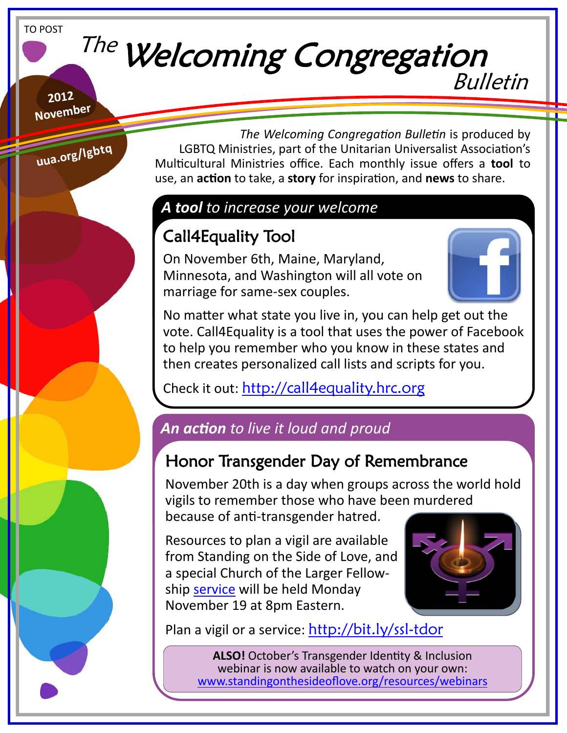#### TO POST

# The Welcoming Congregation Bulletin

**2012 November**

**uua.org/lgbtq**

 *The Welcoming Congregation Bulletin* is produced by LGBTQ Ministries, part of the Unitarian Universalist Association's Multicultural Ministries office. Each monthly issue offers a **tool** to use, an **action** to take, a **story** for inspiration, and **news** to share.

### *A tool to increase your welcome*

## Call4Equality Tool

On November 6th, Maine, Maryland, Minnesota, and Washington will all vote on marriage for same-sex couples.



No matter what state you live in, you can help get out the vote. Call4Equality is a tool that uses the power of Facebook to help you remember who you know in these states and then creates personalized call lists and scripts for you.

Check it out: <http://call4equality.hrc.org>

### *An action to live it loud and proud*

### Honor Transgender Day of Remembrance

November 20th is a day when groups across the world hold vigils to remember those who have been murdered because of anti-transgender hatred.

Resources to plan a vigil are available from Standing on the Side of Love, and a special Church of the Larger Fellowship [service](https://www.facebook.com/events/432796256776510/) will be held Monday November 19 at 8pm Eastern.



Plan a vigil or a service: <http://bit.ly/ssl-tdor>

**ALSO!** October's Transgender Identity & Inclusion webinar is now available to watch on your own: [www.standingonthesideoflove.org/resources/webinars](http://www.standingonthesideoflove.org/resources/webinars)